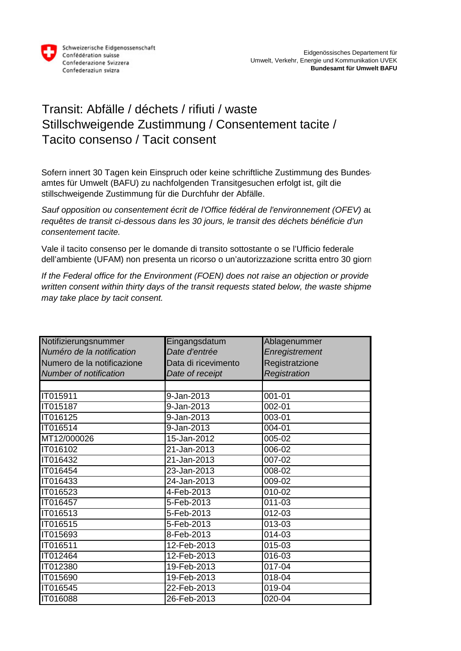

## Transit: Abfälle / déchets / rifiuti / waste Stillschweigende Zustimmung / Consentement tacite / Tacito consenso / Tacit consent

Sofern innert 30 Tagen kein Einspruch oder keine schriftliche Zustimmung des Bundesamtes für Umwelt (BAFU) zu nachfolgenden Transitgesuchen erfolgt ist, gilt die stillschweigende Zustimmung für die Durchfuhr der Abfälle.

*Sauf opposition ou consentement écrit de l'Office fédéral de l'environnement (OFEV) au requêtes de transit ci-dessous dans les 30 jours, le transit des déchets bénéficie d'un consentement tacite.*

Vale il tacito consenso per le domande di transito sottostante o se l'Ufficio federale dell'ambiente (UFAM) non presenta un ricorso o un'autorizzazione scritta entro 30 giorn

*If the Federal office for the Environment (FOEN) does not raise an objection or provide written consent within thirty days of the transit requests stated below, the waste shipme may take place by tacit consent.*

| Notifizierungsnummer          | Eingangsdatum       | Ablagenummer   |
|-------------------------------|---------------------|----------------|
| Numéro de la notification     | Date d'entrée       | Enregistrement |
| Numero de la notificazione    | Data di ricevimento | Registratzione |
| <b>Number of notification</b> | Date of receipt     | Registration   |
|                               |                     |                |
| IT015911                      | 9-Jan-2013          | 001-01         |
| <b>IT015187</b>               | 9-Jan-2013          | $002 - 01$     |
| IT016125                      | 9-Jan-2013          | 003-01         |
| IT016514                      | 9-Jan-2013          | 004-01         |
| MT12/000026                   | 15-Jan-2012         | 005-02         |
| IT016102                      | 21-Jan-2013         | 006-02         |
| IT016432                      | 21-Jan-2013         | 007-02         |
| IT016454                      | 23-Jan-2013         | 008-02         |
| IT016433                      | 24-Jan-2013         | 009-02         |
| IT016523                      | 4-Feb-2013          | 010-02         |
| IT016457                      | 5-Feb-2013          | 011-03         |
| IT016513                      | 5-Feb-2013          | 012-03         |
| IT016515                      | 5-Feb-2013          | 013-03         |
| IT015693                      | 8-Feb-2013          | 014-03         |
| IT016511                      | 12-Feb-2013         | 015-03         |
| IT012464                      | 12-Feb-2013         | 016-03         |
| IT012380                      | 19-Feb-2013         | $017 - 04$     |
| IT015690                      | 19-Feb-2013         | 018-04         |
| IT016545                      | 22-Feb-2013         | 019-04         |
| IT016088                      | 26-Feb-2013         | 020-04         |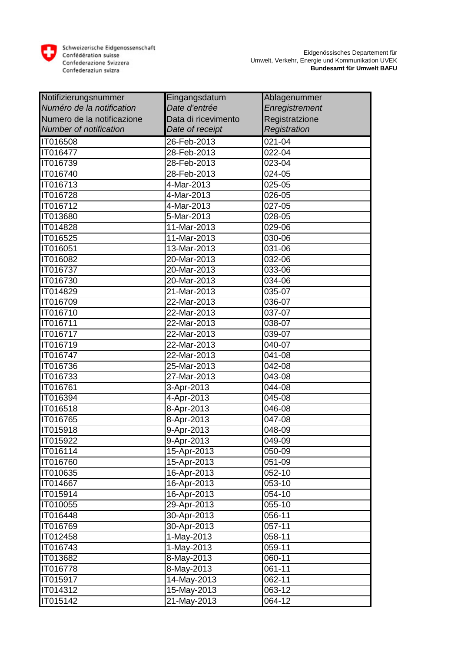

| Notifizierungsnummer          | Eingangsdatum       | Ablagenummer          |
|-------------------------------|---------------------|-----------------------|
| Numéro de la notification     | Date d'entrée       | Enregistrement        |
| Numero de la notificazione    | Data di ricevimento | Registratzione        |
| <b>Number of notification</b> | Date of receipt     | Registration          |
| IT016508                      | 26-Feb-2013         | 021-04                |
| <b>IT016477</b>               | 28-Feb-2013         | 022-04                |
| IT016739                      | 28-Feb-2013         | 023-04                |
| IT016740                      | 28-Feb-2013         | 024-05                |
| IT016713                      | 4-Mar-2013          | 025-05                |
| IT016728                      | 4-Mar-2013          | 026-05                |
| IT016712                      | 4-Mar-2013          | 027-05                |
| <b>IT013680</b>               | 5-Mar-2013          | 028-05                |
| <b>IT014828</b>               | 11-Mar-2013         | 029-06                |
| IT016525                      | 11-Mar-2013         | 030-06                |
| IT016051                      | 13-Mar-2013         | 031-06                |
| IT016082                      | 20-Mar-2013         | 032-06                |
| IT016737                      | 20-Mar-2013         | 033-06                |
| IT016730                      | 20-Mar-2013         | 034-06                |
| IT014829                      | 21-Mar-2013         | 035-07                |
| IT016709                      | $22$ -Mar-2013      | 036-07                |
| IT016710                      | 22-Mar-2013         | 037-07                |
| IT016711                      | 22-Mar-2013         | 038-07                |
| IT016717                      | 22-Mar-2013         | 039-07                |
| IT016719                      | 22-Mar-2013         | 040-07                |
| <b>IT016747</b>               | 22-Mar-2013         | 041-08                |
| IT016736                      | 25-Mar-2013         | 042-08                |
| IT016733                      | 27-Mar-2013         | 043-08                |
| IT016761                      | 3-Apr-2013          | 044-08                |
| IT016394                      | 4-Apr-2013          | 045-08                |
| IT016518                      | 8-Apr-2013          | 046-08                |
| IT016765                      | 8-Apr-2013          | 047-08                |
| <b>IT015918</b>               | $9 - Apr - 2013$    | 048-09                |
| IT015922                      | 9-Apr-2013          | $\overline{0}49 - 09$ |
| IT016114                      | 15-Apr-2013         | 050-09                |
| IT016760                      | 15-Apr-2013         | 051-09                |
| IT010635                      | 16-Apr-2013         | 052-10                |
| IT014667                      | 16-Apr-2013         | 053-10                |
| IT015914                      | 16-Apr-2013         | 054-10                |
| IT010055                      | 29-Apr-2013         | 055-10                |
| IT016448                      | 30-Apr-2013         | 056-11                |
| IT016769                      | 30-Apr-2013         | 057-11                |
| IT012458                      | 1-May-2013          | 058-11                |
| IT016743                      | 1-May-2013          | 059-11                |
| IT013682                      | 8-May-2013          | 060-11                |
| IT016778                      | 8-May-2013          | 061-11                |
| IT015917                      | 14-May-2013         | 062-11                |
| IT014312                      | $15-May-2013$       | 063-12                |
| IT015142                      | 21-May-2013         | 064-12                |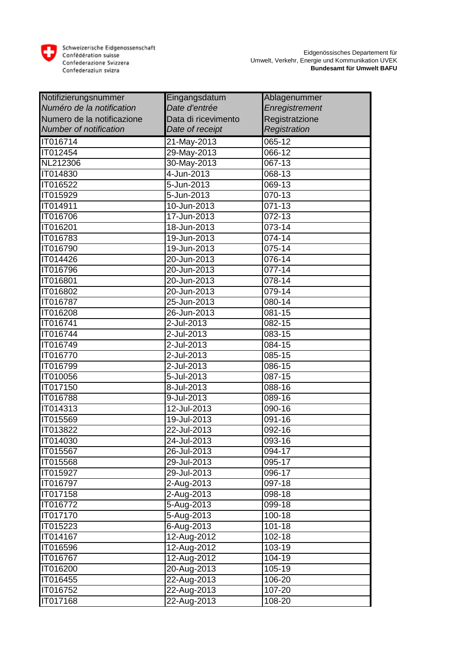

| Notifizierungsnummer          | Eingangsdatum             | Ablagenummer          |
|-------------------------------|---------------------------|-----------------------|
| Numéro de la notification     | Date d'entrée             | Enregistrement        |
| Numero de la notificazione    | Data di ricevimento       | Registratzione        |
| <b>Number of notification</b> | Date of receipt           | Registration          |
| IT016714                      | 21-May-2013               | 065-12                |
| IT012454                      | 29-May-2013               | 066-12                |
| NL212306                      | 30-May-2013               | 067-13                |
| IT014830                      | 4-Jun-2013                | 068-13                |
| IT016522                      | 5-Jun-2013                | 069-13                |
| IT015929                      | 5-Jun-2013                | 070-13                |
| <b>IT014911</b>               | 10-Jun-2013               | 071-13                |
| IT016706                      | 17-Jun-2013               | $072 - 13$            |
| <b>IT016201</b>               | 18-Jun-2013               | 073-14                |
| IT016783                      | 19-Jun-2013               | 074-14                |
| <b>IT016790</b>               | 19-Jun-2013               | 075-14                |
| IT014426                      | 20-Jun-2013               | 076-14                |
| IT016796                      | 20-Jun-2013               | 077-14                |
| IT016801                      | 20-Jun-2013               | 078-14                |
| IT016802                      | 20-Jun- $2013$            | 079-14                |
| IT016787                      | 25-Jun-2013               | 080-14                |
| IT016208                      | 26-Jun-2013               | 081-15                |
| IT016741                      | 2-Jul-2013                | 082-15                |
| IT016744                      | 2-Jul-2013                | 083-15                |
| IT016749                      | 2-Jul-2013                | 084-15                |
| IT016770                      | 2-Jul-2013                | 085-15                |
| IT016799                      | 2-Jul-2013                | $086 - 15$            |
| IT010056                      | 5-Jul-2013                | 087-15                |
| IT017150                      | 8-Jul-2013                | 088-16                |
| <b>IT016788</b>               | 9-Jul-2013                | 089-16                |
| IT014313                      | $\overline{12}$ -Jul-2013 | 090-16                |
| <b>IT015569</b>               | 19-Jul-2013               | 091-16                |
| IT013822                      | 22-Jul-2013               | 092-16                |
| IT014030                      | $24 -$ Jul-2013           | 093-16                |
| IT015567                      | 26-Jul-2013               | 094-17                |
| IT015568                      | 29-Jul-2013               | 095-17                |
| IT015927                      | 29-Jul-2013               | 096-17                |
| IT016797                      | 2-Aug-2013                | 097-18                |
| IT017158                      | 2-Aug-2013                | 098-18                |
| IT016772                      | 5-Aug-2013                | 099-18                |
| IT017170                      | 5-Aug-2013                | 100-18                |
| IT015223                      | 6-Aug-2013                | 101-18                |
| IT014167                      | 12-Aug-2012               | $\overline{1}02 - 18$ |
| IT016596                      | 12-Aug-2012               | 103-19                |
| IT016767                      | 12-Aug-2012               | 104-19                |
| IT016200                      | 20-Aug-2013               | 105-19                |
| IT016455                      | 22-Aug-2013               | 106-20                |
| IT016752                      | 22-Aug-2013               | 107-20                |
| IT017168                      | 22-Aug-2013               | 108-20                |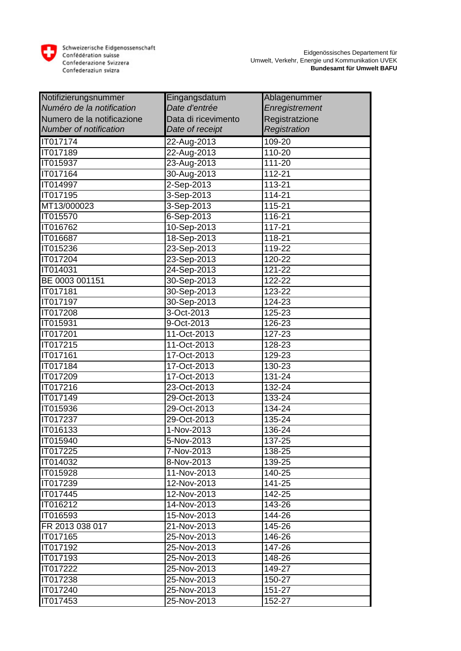

| Notifizierungsnummer          | Eingangsdatum       | Ablagenummer   |
|-------------------------------|---------------------|----------------|
| Numéro de la notification     | Date d'entrée       | Enregistrement |
| Numero de la notificazione    | Data di ricevimento | Registratzione |
| <b>Number of notification</b> | Date of receipt     | Registration   |
| IT017174                      | 22-Aug-2013         | 109-20         |
| <b>IT017189</b>               | 22-Aug-2013         | 110-20         |
| IT015937                      | 23-Aug-2013         | 111-20         |
| IT017164                      | 30-Aug-2013         | 112-21         |
| IT014997                      | 2-Sep-2013          | 113-21         |
| IT017195                      | 3-Sep-2013          | 114-21         |
| MT13/000023                   | 3-Sep-2013          | 115-21         |
| IT015570                      | $6 - Sep - 2013$    | 116-21         |
| IT016762                      | 10-Sep-2013         | 117-21         |
| IT016687                      | 18-Sep-2013         | 118-21         |
| IT015236                      | 23-Sep-2013         | 119-22         |
| IT017204                      | 23-Sep-2013         | 120-22         |
| IT014031                      | 24-Sep-2013         | 121-22         |
| BE 0003 001151                | 30-Sep-2013         | 122-22         |
| IT017181                      | 30-Sep-2013         | 123-22         |
| IT017197                      | 30-Sep-2013         | 124-23         |
| IT017208                      | 3-Oct-2013          | 125-23         |
| IT015931                      | 9-Oct-2013          | 126-23         |
| IT017201                      | 11-Oct-2013         | 127-23         |
| IT017215                      | 11-Oct-2013         | 128-23         |
| IT017161                      | 17-Oct-2013         | 129-23         |
| IT017184                      | 17-Oct-2013         | 130-23         |
| IT017209                      | 17-Oct-2013         | 131-24         |
| IT017216                      | 23-Oct-2013         | 132-24         |
| IT017149                      | 29-Oct-2013         | 133-24         |
| IT015936                      | 29-Oct-2013         | 134-24         |
| IT017237                      | 29-Oct-2013         | 135-24         |
| IT016133                      | 1-Nov-2013          | 136-24         |
| IT015940                      | 5-Nov-2013          | 137-25         |
| IT017225                      | 7-Nov-2013          | 138-25         |
| IT014032                      | 8-Nov-2013          | 139-25         |
| IT015928                      | 11-Nov-2013         | 140-25         |
| IT017239                      | 12-Nov-2013         | 141-25         |
| IT017445                      | 12-Nov-2013         | 142-25         |
| IT016212                      | 14-Nov-2013         | 143-26         |
| IT016593                      | 15-Nov-2013         | 144-26         |
| FR 2013 038 017               | 21-Nov-2013         | 145-26         |
| IT017165                      | 25-Nov-2013         | 146-26         |
| IT017192                      | 25-Nov-2013         | 147-26         |
| IT017193                      | 25-Nov-2013         | 148-26         |
| IT017222                      | 25-Nov-2013         | 149-27         |
| IT017238                      | 25-Nov-2013         | 150-27         |
| IT017240                      | 25-Nov-2013         | 151-27         |
| IT017453                      | 25-Nov-2013         | 152-27         |